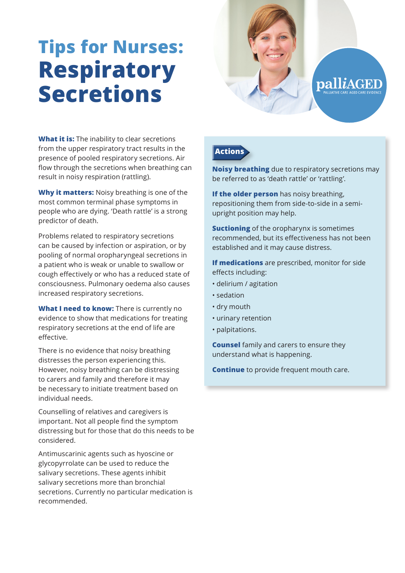## **Tips for Nurses: Respiratory Secretions**



**What it is:** The inability to clear secretions from the upper respiratory tract results in the presence of pooled respiratory secretions. Air flow through the secretions when breathing can result in noisy respiration (rattling).

**Why it matters:** Noisy breathing is one of the most common terminal phase symptoms in people who are dying. 'Death rattle' is a strong predictor of death.

Problems related to respiratory secretions can be caused by infection or aspiration, or by pooling of normal oropharyngeal secretions in a patient who is weak or unable to swallow or cough effectively or who has a reduced state of consciousness. Pulmonary oedema also causes increased respiratory secretions.

**What I need to know:** There is currently no evidence to show that medications for treating respiratory secretions at the end of life are effective.

There is no evidence that noisy breathing distresses the person experiencing this. However, noisy breathing can be distressing to carers and family and therefore it may be necessary to initiate treatment based on individual needs.

Counselling of relatives and caregivers is important. Not all people find the symptom distressing but for those that do this needs to be considered.

Antimuscarinic agents such as hyoscine or glycopyrrolate can be used to reduce the salivary secretions. These agents inhibit salivary secretions more than bronchial secretions. Currently no particular medication is recommended.

## **Actions**

**Noisy breathing** due to respiratory secretions may be referred to as 'death rattle' or 'rattling'.

**If the older person** has noisy breathing, repositioning them from side-to-side in a semiupright position may help.

**Suctioning** of the oropharynx is sometimes recommended, but its effectiveness has not been established and it may cause distress.

**If medications** are prescribed, monitor for side effects including:

- delirium / agitation
- sedation
- dry mouth
- urinary retention
- palpitations.

**Counsel** family and carers to ensure they understand what is happening.

**Continue** to provide frequent mouth care.